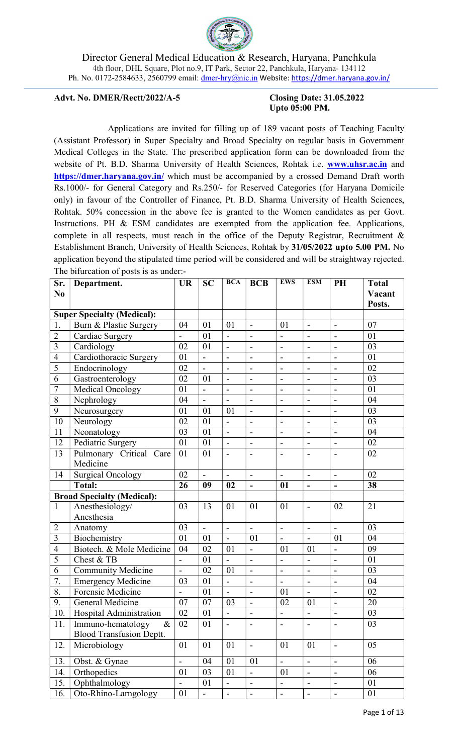

#### Advt. No. DMER/Rectt/2022/A-5 Closing Date: 31.05.2022

# Upto 05:00 PM.

 Applications are invited for filling up of 189 vacant posts of Teaching Faculty (Assistant Professor) in Super Specialty and Broad Specialty on regular basis in Government Medical Colleges in the State. The prescribed application form can be downloaded from the website of Pt. B.D. Sharma University of Health Sciences, Rohtak i.e. **www.uhsr.ac.in** and https://dmer.haryana.gov.in/ which must be accompanied by a crossed Demand Draft worth Rs.1000/- for General Category and Rs.250/- for Reserved Categories (for Haryana Domicile only) in favour of the Controller of Finance, Pt. B.D. Sharma University of Health Sciences, Rohtak. 50% concession in the above fee is granted to the Women candidates as per Govt. Instructions. PH & ESM candidates are exempted from the application fee. Applications, complete in all respects, must reach in the office of the Deputy Registrar, Recruitment & Establishment Branch, University of Health Sciences, Rohtak by 31/05/2022 upto 5.00 PM. No application beyond the stipulated time period will be considered and will be straightway rejected. The bifurcation of posts is as under:-

| Sr.<br>N <sub>0</sub> | Department.                       | <b>UR</b>                | <b>SC</b>                    | <b>BCA</b>               | <b>BCB</b>                   | <b>EWS</b>               | <b>ESM</b>                   | PH                           | <b>Total</b><br>Vacant |
|-----------------------|-----------------------------------|--------------------------|------------------------------|--------------------------|------------------------------|--------------------------|------------------------------|------------------------------|------------------------|
|                       |                                   |                          |                              |                          |                              |                          |                              |                              | Posts.                 |
|                       | <b>Super Specialty (Medical):</b> |                          |                              |                          |                              |                          |                              |                              |                        |
| 1.                    | Burn & Plastic Surgery            | 04                       | 01                           | 01                       | $\overline{\phantom{a}}$     | 01                       | $\overline{\phantom{a}}$     | $\blacksquare$               | 07                     |
| $\overline{2}$        | Cardiac Surgery                   | $\overline{a}$           | 01                           | $\overline{a}$           | $\blacksquare$               | $\overline{a}$           | $\blacksquare$               | $\blacksquare$               | 01                     |
| 3                     | Cardiology                        | 02                       | 01                           |                          |                              | $\overline{a}$           |                              |                              | 03                     |
| $\overline{4}$        | Cardiothoracic Surgery            | 01                       | $\overline{\phantom{0}}$     | $\overline{\phantom{a}}$ | $\overline{\phantom{0}}$     | $\blacksquare$           | $\qquad \qquad \blacksquare$ | $\frac{1}{2}$                | 01                     |
| 5                     | Endocrinology                     | 02                       | $\frac{1}{2}$                |                          | $\overline{a}$               | $\blacksquare$           | $\overline{\phantom{0}}$     | $\overline{\phantom{0}}$     | 02                     |
| 6                     | Gastroenterology                  | 02                       | 01                           | $\blacksquare$           | $\overline{\phantom{a}}$     | $\overline{a}$           | $\overline{\phantom{a}}$     | $\blacksquare$               | 03                     |
| 7                     | Medical Oncology                  | 01                       | $\overline{a}$               | $\overline{\phantom{a}}$ | $\overline{\phantom{a}}$     | $\overline{\phantom{m}}$ | $\overline{\phantom{a}}$     | $\overline{\phantom{a}}$     | 01                     |
| 8                     | Nephrology                        | 04                       | $\overline{\phantom{a}}$     |                          | $\overline{a}$               | $\overline{\phantom{m}}$ | $\overline{a}$               | $\overline{\phantom{a}}$     | 04                     |
| 9                     | Neurosurgery                      | 01                       | 01                           | 01                       | $\overline{\phantom{0}}$     | $\blacksquare$           | $\overline{a}$               | $\frac{1}{2}$                | 03                     |
| 10                    | Neurology                         | 02                       | 01                           | $\blacksquare$           | $\blacksquare$               | $\overline{\phantom{a}}$ | $\blacksquare$               | $\overline{\phantom{a}}$     | 03                     |
| 11                    | Neonatology                       | 03                       | 01                           | $\overline{a}$           | $\overline{a}$               | $\overline{a}$           | $\blacksquare$               | $\blacksquare$               | 04                     |
| 12                    | Pediatric Surgery                 | 01                       | 01                           | $\overline{a}$           | $\qquad \qquad -$            | $\overline{a}$           | $\qquad \qquad -$            | $\overline{\phantom{a}}$     | 02                     |
| 13                    | Pulmonary Critical Care           | 01                       | 01                           |                          |                              |                          |                              |                              | 02                     |
|                       | Medicine                          |                          |                              |                          |                              |                          |                              |                              |                        |
| 14                    | <b>Surgical Oncology</b>          | 02                       | $\overline{\phantom{a}}$     | $\overline{\phantom{a}}$ | $\overline{\phantom{a}}$     | $\overline{\phantom{a}}$ | $\overline{\phantom{a}}$     | $\blacksquare$               | 02                     |
|                       | <b>Total:</b>                     | 26                       | 09                           | 02                       | $\overline{a}$               | 01                       | $\overline{\phantom{0}}$     |                              | 38                     |
|                       | <b>Broad Specialty (Medical):</b> |                          |                              |                          |                              |                          |                              |                              |                        |
| $\mathbf{1}$          | Anesthesiology/                   | 03                       | 13                           | 01                       | 01                           | 01                       | $\overline{\phantom{a}}$     | 02                           | 21                     |
|                       | Anesthesia                        |                          |                              |                          |                              |                          |                              |                              |                        |
| $\overline{2}$        | Anatomy                           | 03                       | $\overline{a}$               | $\overline{a}$           | $\overline{a}$               | $\blacksquare$           | $\blacksquare$               | $\frac{1}{2}$                | 03                     |
| $\overline{3}$        | Biochemistry                      | 01                       | 01                           | $\overline{a}$           | 01                           | $\mathbf{r}$             | $\blacksquare$               | 01                           | 04                     |
| $\overline{4}$        | Biotech. & Mole Medicine          | 04                       | 02                           | 01                       | $\overline{\phantom{0}}$     | 01                       | 01                           |                              | 09                     |
| 5                     | Chest & TB                        | $\overline{\phantom{0}}$ | 01                           |                          | $\overline{\phantom{0}}$     | $\overline{\phantom{0}}$ | $\qquad \qquad \blacksquare$ | $\blacksquare$               | 01                     |
| 6                     | <b>Community Medicine</b>         | $\overline{a}$           | 02                           | 01                       | $\overline{a}$               | $\overline{a}$           | $\overline{a}$               | $\overline{a}$               | 03                     |
| 7.                    | <b>Emergency Medicine</b>         | 03                       | 01                           |                          | $\overline{a}$               | $\overline{a}$           | $\overline{a}$               |                              | 04                     |
| 8.                    | Forensic Medicine                 | $\blacksquare$           | 01                           | $\overline{\phantom{a}}$ | $\blacksquare$               | 01                       | $\frac{1}{2}$                | $\overline{\phantom{a}}$     | 02                     |
| 9.                    | General Medicine                  | 07                       | 07                           | 03                       | $\overline{a}$               | 02                       | 01                           | $\blacksquare$               | 20                     |
| $\overline{10}$ .     | Hospital Administration           | $\overline{02}$          | $\overline{01}$              | $\overline{\phantom{a}}$ | -                            | $\qquad \qquad -$        | $\overline{\phantom{0}}$     | $\overline{\phantom{a}}$     | $\overline{03}$        |
| 11.                   | Immuno-hematology<br>$\&$         | 02                       | 01                           | $\blacksquare$           | $\blacksquare$               | $\overline{\phantom{a}}$ | $\blacksquare$               | $\blacksquare$               | 03                     |
|                       | <b>Blood Transfusion Deptt.</b>   |                          |                              |                          |                              |                          |                              |                              |                        |
| 12.                   | Microbiology                      | 01                       | 01                           | 01                       | $\qquad \qquad \blacksquare$ | 01                       | 01                           | $\qquad \qquad \blacksquare$ | 05                     |
| 13.                   | Obst. & Gynae                     | $\blacksquare$           | 04                           | 01                       | 01                           | $\overline{a}$           | $\blacksquare$               | $\overline{\phantom{a}}$     | 06                     |
| 14.                   | Orthopedics                       | 01                       | 03                           | 01                       | $\blacksquare$               | 01                       | $\qquad \qquad \blacksquare$ | $\overline{\phantom{m}}$     | 06                     |
| 15.                   | Ophthalmology                     |                          | 01                           |                          | $\qquad \qquad \blacksquare$ | $\overline{\phantom{0}}$ | $\qquad \qquad -$            | $\frac{1}{2}$                | 01                     |
| 16.                   | Oto-Rhino-Larngology              | 01                       | $\qquad \qquad \blacksquare$ | $\overline{\phantom{0}}$ | $\qquad \qquad \blacksquare$ | $\overline{\phantom{0}}$ | $\overline{\phantom{0}}$     | $\overline{\phantom{0}}$     | 01                     |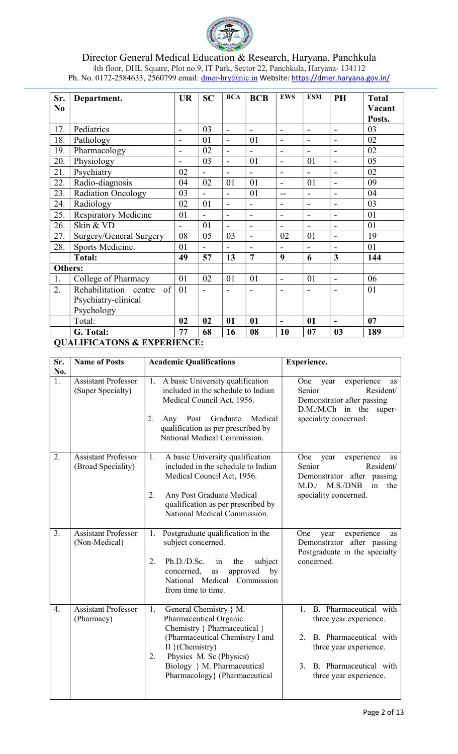

| Sr.              | Department.                            | <b>UR</b>                    | <b>SC</b>                    | <b>BCA</b>               | <b>BCB</b>               | <b>EWS</b>                   | <b>ESM</b>               | PH                           | <b>Total</b> |
|------------------|----------------------------------------|------------------------------|------------------------------|--------------------------|--------------------------|------------------------------|--------------------------|------------------------------|--------------|
| No               |                                        |                              |                              |                          |                          |                              |                          |                              | Vacant       |
|                  |                                        |                              |                              |                          |                          |                              |                          |                              | Posts.       |
| 17.              | Pediatrics                             | $\blacksquare$               | 03                           | $\blacksquare$           | $\blacksquare$           | $\blacksquare$               | $\blacksquare$           | $\blacksquare$               | 03           |
| 18.              | Pathology                              | $\qquad \qquad \blacksquare$ | 01                           | $\overline{a}$           | 01                       | $\overline{\phantom{a}}$     | $\blacksquare$           | $\qquad \qquad \blacksquare$ | 02           |
| 19.              | Pharmacology                           | $\overline{\phantom{0}}$     | 02                           | $\overline{a}$           | $\overline{\phantom{m}}$ | $\overline{a}$               | $\overline{\phantom{a}}$ | -                            | 02           |
| 20.              | Physiology                             | $\blacksquare$               | 03                           |                          | 01                       | $\overline{a}$               | 01                       | $\blacksquare$               | 05           |
| 21.              | Psychiatry                             | 02                           | $\overline{a}$               |                          | $\blacksquare$           | $\overline{a}$               | $\overline{a}$           |                              | 02           |
| 22.              | Radio-diagnosis                        | 04                           | 02                           | 01                       | 01                       |                              | 01                       | -                            | 09           |
| 23.              | <b>Radiation Oncology</b>              | 03                           |                              |                          | 01                       | $-$                          | $\overline{\phantom{a}}$ | -                            | 04           |
| 24.              | Radiology                              | 02                           | 01                           |                          | $\blacksquare$           | $\overline{a}$               | $\blacksquare$           | $\overline{\phantom{0}}$     | 03           |
| 25.              | <b>Respiratory Medicine</b>            | 01                           |                              | $\overline{\phantom{0}}$ | $\overline{\phantom{a}}$ | $\qquad \qquad \blacksquare$ | $\overline{\phantom{a}}$ | -                            | 01           |
| 26.              | Skin & VD                              | $\blacksquare$               | 01                           | $\overline{\phantom{a}}$ | $\blacksquare$           | $\overline{\phantom{0}}$     | $\blacksquare$           | $\qquad \qquad \blacksquare$ | 01           |
| 27.              | Surgery/General Surgery                | 08                           | 05                           | 03                       | $\blacksquare$           | 02                           | 01                       | $\blacksquare$               | 19           |
| 28.              | Sports Medicine.                       | 01                           | $\qquad \qquad \blacksquare$ | $\overline{\phantom{a}}$ | $\blacksquare$           | $\qquad \qquad \blacksquare$ | $\blacksquare$           | $\qquad \qquad \blacksquare$ | 01           |
|                  | <b>Total:</b>                          | 49                           | 57                           | 13                       | $\overline{7}$           | 9                            | 6                        | 3                            | 144          |
| <b>Others:</b>   |                                        |                              |                              |                          |                          |                              |                          |                              |              |
| 1.               | College of Pharmacy                    | 01                           | 02                           | 01                       | 01                       | $\blacksquare$               | 01                       | $\overline{a}$               | 06           |
| $\overline{2}$ . | Rehabilitation<br>of<br>centre         | 01                           |                              |                          |                          | $\blacksquare$               |                          |                              | 01           |
|                  | Psychiatry-clinical                    |                              |                              |                          |                          |                              |                          |                              |              |
|                  | Psychology                             |                              |                              |                          |                          |                              |                          |                              |              |
|                  | Total:                                 | 02                           | 02                           | 01                       | 01                       |                              | 01                       |                              | 07           |
|                  | G. Total:                              | 77                           | 68                           | 16                       | 08                       | 10                           | 07                       | 0 <sub>3</sub>               | 189          |
|                  | <b>QUALIFICATONS &amp; EXPERIENCE:</b> |                              |                              |                          |                          |                              |                          |                              |              |

| Sr.<br>No.       | <b>Name of Posts</b>                             | <b>Academic Qualifications</b>                                                                                                                                                                                                                    | <b>Experience.</b>                                                                                                                                                                  |
|------------------|--------------------------------------------------|---------------------------------------------------------------------------------------------------------------------------------------------------------------------------------------------------------------------------------------------------|-------------------------------------------------------------------------------------------------------------------------------------------------------------------------------------|
| 1.               | <b>Assistant Professor</b><br>(Super Specialty)  | A basic University qualification<br>1.<br>included in the schedule to Indian<br>Medical Council Act, 1956.<br>2.<br>Any Post<br>Graduate<br>Medical<br>qualification as per prescribed by<br>National Medical Commission.                         | experience<br>One<br>year<br>as<br>Resident/<br>Senior<br>Demonstrator after passing<br>D.M./M.Ch in the<br>super-<br>speciality concerned.                                         |
| 2.               | <b>Assistant Professor</b><br>(Broad Speciality) | A basic University qualification<br>1.<br>included in the schedule to Indian<br>Medical Council Act, 1956.<br>2.<br>Any Post Graduate Medical<br>qualification as per prescribed by<br>National Medical Commission.                               | experience<br>One<br>year<br>as<br>Resident/<br>Senior<br>passing<br>Demonstrator after<br>M.D./<br>M.S./DNB<br>in<br>the<br>speciality concerned.                                  |
| 3.               | Assistant Professor<br>(Non-Medical)             | Postgraduate qualification in the<br>1.<br>subject concerned.<br>2.<br>Ph.D./D.Sc.<br>the<br>subject<br>in<br>approved<br>concerned,<br>by<br>as<br>National Medical Commission<br>from time to time.                                             | experience<br>One<br>year<br><b>as</b><br>Demonstrator after passing<br>Postgraduate in the specialty<br>concerned.                                                                 |
| $\overline{4}$ . | <b>Assistant Professor</b><br>(Pharmacy)         | 1.<br>General Chemistry } M.<br>Pharmaceutical Organic<br>Chemistry } Pharmaceutical }<br>(Pharmaceutical Chemistry I and<br>$II \}$ (Chemistry)<br>Physics M. Sc (Physics)<br>2.<br>Biology } M. Pharmaceutical<br>Pharmacology} (Pharmaceutical | B. Pharmaceutical with<br>$1_{\cdot}$<br>three year experience.<br>B. Pharmaceutical with<br>2.<br>three year experience.<br>B. Pharmaceutical with<br>3.<br>three year experience. |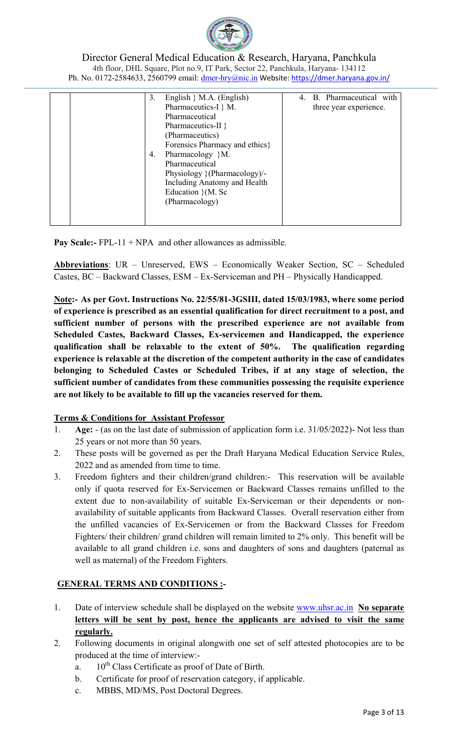

| 3. | English $\}$ M.A. (English)     | 4. B. Pharmaceutical with |
|----|---------------------------------|---------------------------|
|    | Pharmaceutics-I } M.            | three year experience.    |
|    | Pharmaceutical                  |                           |
|    | Pharmaceutics-II $\}$           |                           |
|    | (Pharmaceutics)                 |                           |
|    | Forensics Pharmacy and ethics } |                           |
| 4. | Pharmacology }M.                |                           |
|    | Pharmaceutical                  |                           |
|    | Physiology } (Pharmacology)/-   |                           |
|    | Including Anatomy and Health    |                           |
|    | Education $\}(M.$ Sc            |                           |
|    | (Pharmacology)                  |                           |
|    |                                 |                           |
|    |                                 |                           |

**Pay Scale:-** FPL-11 + NPA and other allowances as admissible.

Abbreviations: UR - Unreserved, EWS - Economically Weaker Section, SC - Scheduled Castes, BC – Backward Classes, ESM – Ex-Serviceman and PH – Physically Handicapped.

Note:- As per Govt. Instructions No. 22/55/81-3GSIII, dated 15/03/1983, where some period of experience is prescribed as an essential qualification for direct recruitment to a post, and sufficient number of persons with the prescribed experience are not available from Scheduled Castes, Backward Classes, Ex-servicemen and Handicapped, the experience qualification shall be relaxable to the extent of 50%. The qualification regarding experience is relaxable at the discretion of the competent authority in the case of candidates belonging to Scheduled Castes or Scheduled Tribes, if at any stage of selection, the sufficient number of candidates from these communities possessing the requisite experience are not likely to be available to fill up the vacancies reserved for them.

# Terms & Conditions for Assistant Professor

- 1. Age: (as on the last date of submission of application form i.e. 31/05/2022)- Not less than 25 years or not more than 50 years.
- 2. These posts will be governed as per the Draft Haryana Medical Education Service Rules, 2022 and as amended from time to time.
- 3. Freedom fighters and their children/grand children:- This reservation will be available only if quota reserved for Ex-Servicemen or Backward Classes remains unfilled to the extent due to non-availability of suitable Ex-Serviceman or their dependents or nonavailability of suitable applicants from Backward Classes. Overall reservation either from the unfilled vacancies of Ex-Servicemen or from the Backward Classes for Freedom Fighters/ their children/ grand children will remain limited to 2% only. This benefit will be available to all grand children i.e. sons and daughters of sons and daughters (paternal as well as maternal) of the Freedom Fighters.

# GENERAL TERMS AND CONDITIONS :-

- 1. Date of interview schedule shall be displayed on the website www.uhsr.ac.in No separate letters will be sent by post, hence the applicants are advised to visit the same regularly.
- 2. Following documents in original alongwith one set of self attested photocopies are to be produced at the time of interview:
	- a.  $10^{th}$  Class Certificate as proof of Date of Birth.
	- b. Certificate for proof of reservation category, if applicable.
	- c. MBBS, MD/MS, Post Doctoral Degrees.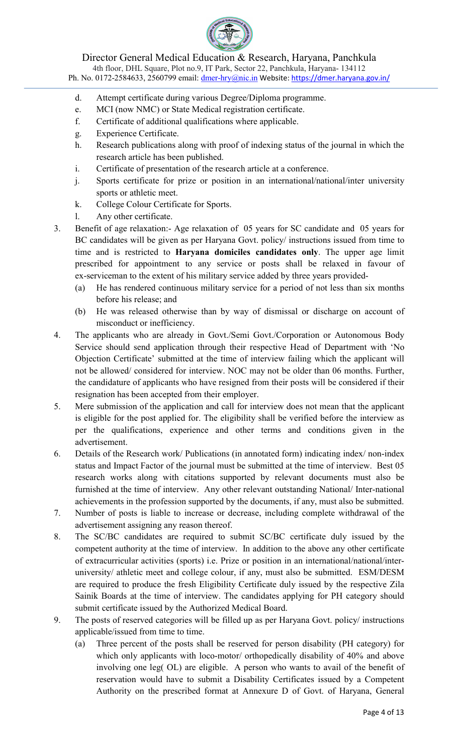

Director General Medical Education & Research, Haryana, Panchkula

4th floor, DHL Square, Plot no.9, IT Park, Sector 22, Panchkula, Haryana- 134112 Ph. No. 0172-2584633, 2560799 email: dmer-hry@nic.in Website: https://dmer.haryana.gov.in/

- d. Attempt certificate during various Degree/Diploma programme.
- e. MCI (now NMC) or State Medical registration certificate.
- f. Certificate of additional qualifications where applicable.
- g. Experience Certificate.
- h. Research publications along with proof of indexing status of the journal in which the research article has been published.
- i. Certificate of presentation of the research article at a conference.
- j. Sports certificate for prize or position in an international/national/inter university sports or athletic meet.
- k. College Colour Certificate for Sports.
- l. Any other certificate.
- 3. Benefit of age relaxation:- Age relaxation of 05 years for SC candidate and 05 years for BC candidates will be given as per Haryana Govt. policy/ instructions issued from time to time and is restricted to Haryana domiciles candidates only. The upper age limit prescribed for appointment to any service or posts shall be relaxed in favour of ex-serviceman to the extent of his military service added by three years provided-
	- (a) He has rendered continuous military service for a period of not less than six months before his release; and
	- (b) He was released otherwise than by way of dismissal or discharge on account of misconduct or inefficiency.
- 4. The applicants who are already in Govt./Semi Govt./Corporation or Autonomous Body Service should send application through their respective Head of Department with 'No Objection Certificate' submitted at the time of interview failing which the applicant will not be allowed/ considered for interview. NOC may not be older than 06 months. Further, the candidature of applicants who have resigned from their posts will be considered if their resignation has been accepted from their employer.
- 5. Mere submission of the application and call for interview does not mean that the applicant is eligible for the post applied for. The eligibility shall be verified before the interview as per the qualifications, experience and other terms and conditions given in the advertisement.
- 6. Details of the Research work/ Publications (in annotated form) indicating index/ non-index status and Impact Factor of the journal must be submitted at the time of interview. Best 05 research works along with citations supported by relevant documents must also be furnished at the time of interview. Any other relevant outstanding National/ Inter-national achievements in the profession supported by the documents, if any, must also be submitted.
- 7. Number of posts is liable to increase or decrease, including complete withdrawal of the advertisement assigning any reason thereof.
- 8. The SC/BC candidates are required to submit SC/BC certificate duly issued by the competent authority at the time of interview. In addition to the above any other certificate of extracurricular activities (sports) i.e. Prize or position in an international/national/interuniversity/ athletic meet and college colour, if any, must also be submitted. ESM/DESM are required to produce the fresh Eligibility Certificate duly issued by the respective Zila Sainik Boards at the time of interview. The candidates applying for PH category should submit certificate issued by the Authorized Medical Board.
- 9. The posts of reserved categories will be filled up as per Haryana Govt. policy/ instructions applicable/issued from time to time.
	- (a) Three percent of the posts shall be reserved for person disability (PH category) for which only applicants with loco-motor/ orthopedically disability of 40% and above involving one leg( OL) are eligible. A person who wants to avail of the benefit of reservation would have to submit a Disability Certificates issued by a Competent Authority on the prescribed format at Annexure D of Govt. of Haryana, General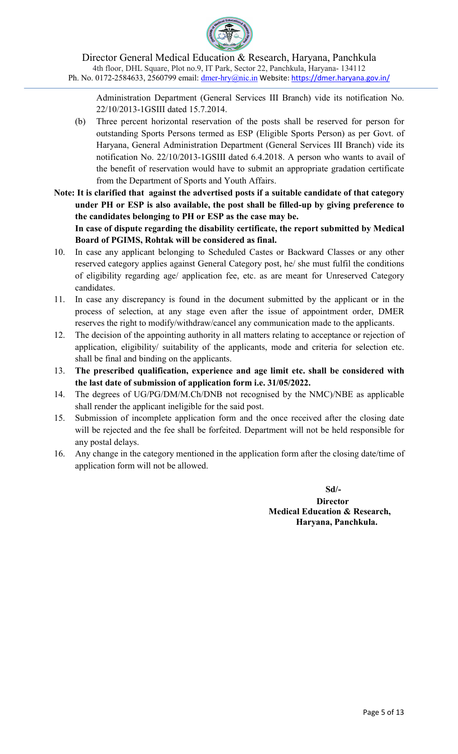

Administration Department (General Services III Branch) vide its notification No. 22/10/2013-1GSIII dated 15.7.2014.

- (b) Three percent horizontal reservation of the posts shall be reserved for person for outstanding Sports Persons termed as ESP (Eligible Sports Person) as per Govt. of Haryana, General Administration Department (General Services III Branch) vide its notification No. 22/10/2013-1GSIII dated 6.4.2018. A person who wants to avail of the benefit of reservation would have to submit an appropriate gradation certificate from the Department of Sports and Youth Affairs.
- Note: It is clarified that against the advertised posts if a suitable candidate of that category under PH or ESP is also available, the post shall be filled-up by giving preference to the candidates belonging to PH or ESP as the case may be.

 In case of dispute regarding the disability certificate, the report submitted by Medical Board of PGIMS, Rohtak will be considered as final.

- 10. In case any applicant belonging to Scheduled Castes or Backward Classes or any other reserved category applies against General Category post, he/ she must fulfil the conditions of eligibility regarding age/ application fee, etc. as are meant for Unreserved Category candidates.
- 11. In case any discrepancy is found in the document submitted by the applicant or in the process of selection, at any stage even after the issue of appointment order, DMER reserves the right to modify/withdraw/cancel any communication made to the applicants.
- 12. The decision of the appointing authority in all matters relating to acceptance or rejection of application, eligibility/ suitability of the applicants, mode and criteria for selection etc. shall be final and binding on the applicants.
- 13. The prescribed qualification, experience and age limit etc. shall be considered with the last date of submission of application form i.e. 31/05/2022.
- 14. The degrees of UG/PG/DM/M.Ch/DNB not recognised by the NMC)/NBE as applicable shall render the applicant ineligible for the said post.
- 15. Submission of incomplete application form and the once received after the closing date will be rejected and the fee shall be forfeited. Department will not be held responsible for any postal delays.
- 16. Any change in the category mentioned in the application form after the closing date/time of application form will not be allowed.

 Sd/- **Director** Medical Education & Research, Haryana, Panchkula.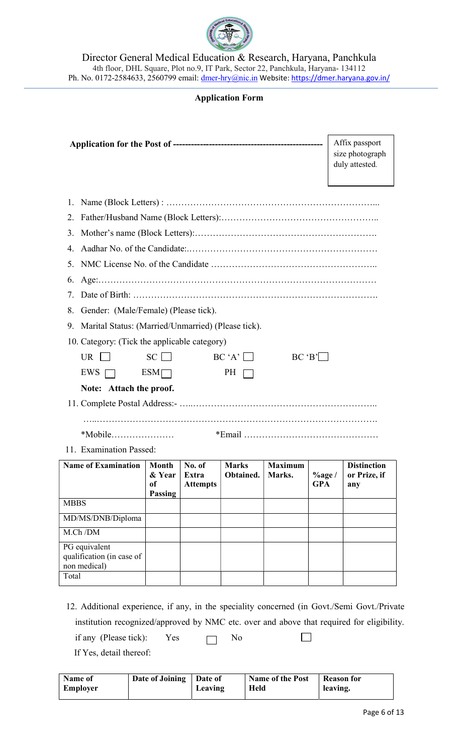

## Application Form

|                                                            |                                         |                                    |                           |                          |                          | Affix passport<br>size photograph<br>duly attested. |  |
|------------------------------------------------------------|-----------------------------------------|------------------------------------|---------------------------|--------------------------|--------------------------|-----------------------------------------------------|--|
| 1.                                                         |                                         |                                    |                           |                          |                          |                                                     |  |
| 2.                                                         |                                         |                                    |                           |                          |                          |                                                     |  |
| 3.                                                         |                                         |                                    |                           |                          |                          |                                                     |  |
| 4.                                                         |                                         |                                    |                           |                          |                          |                                                     |  |
| 5.                                                         |                                         |                                    |                           |                          |                          |                                                     |  |
| 6.                                                         |                                         |                                    |                           |                          |                          |                                                     |  |
| 7.                                                         |                                         |                                    |                           |                          |                          |                                                     |  |
| Gender: (Male/Female) (Please tick).<br>8.                 |                                         |                                    |                           |                          |                          |                                                     |  |
| Marital Status: (Married/Unmarried) (Please tick).<br>9.   |                                         |                                    |                           |                          |                          |                                                     |  |
| 10. Category: (Tick the applicable category)               |                                         |                                    |                           |                          |                          |                                                     |  |
| UR.                                                        | $SC \Box$                               |                                    | $BC 'A' \square$          |                          | BC 'B'                   |                                                     |  |
| <b>EWS</b>                                                 | $ESM\Box$                               |                                    | PH                        |                          |                          |                                                     |  |
| Note: Attach the proof.                                    |                                         |                                    |                           |                          |                          |                                                     |  |
|                                                            |                                         |                                    |                           |                          |                          |                                                     |  |
|                                                            |                                         |                                    |                           |                          |                          |                                                     |  |
|                                                            |                                         |                                    |                           |                          |                          |                                                     |  |
| 11. Examination Passed:                                    |                                         |                                    |                           |                          |                          |                                                     |  |
| <b>Name of Examination</b>                                 | <b>Month</b><br>& Year<br>of<br>Passing | No. of<br>Extra<br><b>Attempts</b> | <b>Marks</b><br>Obtained. | <b>Maximum</b><br>Marks. | $\%$ age /<br><b>GPA</b> | <b>Distinction</b><br>or Prize, if<br>any           |  |
| <b>MBBS</b>                                                |                                         |                                    |                           |                          |                          |                                                     |  |
| MD/MS/DNB/Diploma                                          |                                         |                                    |                           |                          |                          |                                                     |  |
| M.Ch/DM                                                    |                                         |                                    |                           |                          |                          |                                                     |  |
| PG equivalent<br>qualification (in case of<br>non medical) |                                         |                                    |                           |                          |                          |                                                     |  |
| Total                                                      |                                         |                                    |                           |                          |                          |                                                     |  |

typerience, if any, in the speciality concerned (in Govt./Semi Govt./Private institution recognized/approved by NMC etc. over and above that required for eligibility. if any (Please tick): Yes  $\Box$  No  $\Box$ If Yes, detail thereof:

| Name of         | Date of Joining | Date of | <b>Name of the Post</b> | <b>Reason for</b> |
|-----------------|-----------------|---------|-------------------------|-------------------|
| <b>Employer</b> |                 | Leaving | <b>Held</b>             | leaving.          |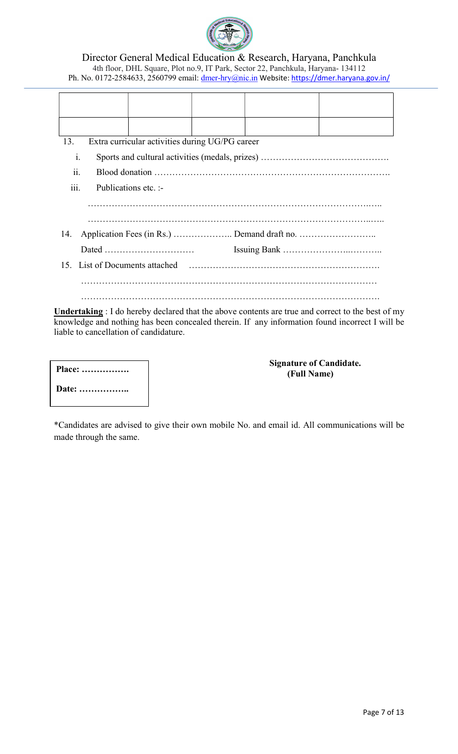

| 13.            | Extra curricular activities during UG/PG career |  |  |
|----------------|-------------------------------------------------|--|--|
| $\mathbf{1}$ . |                                                 |  |  |
| ii.            |                                                 |  |  |
| iii.           | Publications etc. :-                            |  |  |
|                |                                                 |  |  |
|                |                                                 |  |  |
| 14.            |                                                 |  |  |
|                | Dated                                           |  |  |
|                | 15. List of Documents attached                  |  |  |
|                |                                                 |  |  |
|                |                                                 |  |  |

Undertaking : I do hereby declared that the above contents are true and correct to the best of my knowledge and nothing has been concealed therein. If any information found incorrect I will be liable to cancellation of candidature.

| Place: |
|--------|
| Date:  |

### Signature of Candidate. (Full Name)

\*Candidates are advised to give their own mobile No. and email id. All communications will be made through the same.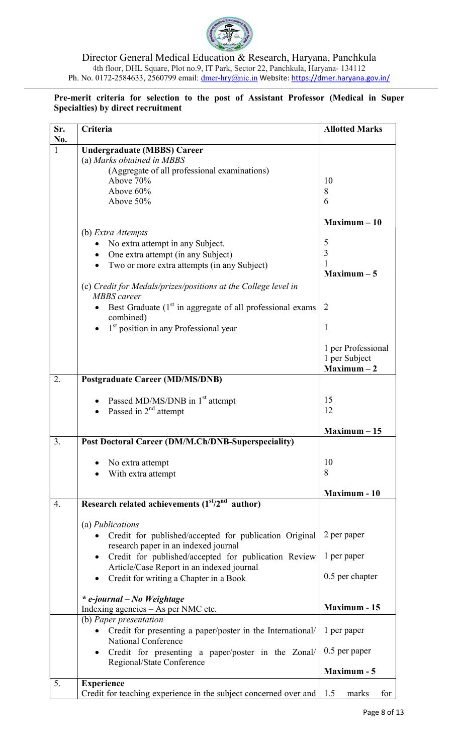

### Pre-merit criteria for selection to the post of Assistant Professor (Medical in Super Specialties) by direct recruitment

| Sr.<br>No.   | Criteria                                                                                     | <b>Allotted Marks</b>                                |
|--------------|----------------------------------------------------------------------------------------------|------------------------------------------------------|
| $\mathbf{1}$ | <b>Undergraduate (MBBS) Career</b>                                                           |                                                      |
|              | (a) Marks obtained in MBBS                                                                   |                                                      |
|              | (Aggregate of all professional examinations)                                                 |                                                      |
|              | Above 70%                                                                                    | 10                                                   |
|              | Above 60%                                                                                    | 8                                                    |
|              | Above 50%                                                                                    | 6                                                    |
|              |                                                                                              |                                                      |
|              |                                                                                              | $Maximum - 10$                                       |
|              | (b) Extra Attempts                                                                           |                                                      |
|              | No extra attempt in any Subject.<br>٠                                                        | 5                                                    |
|              | One extra attempt (in any Subject)                                                           | 3                                                    |
|              | Two or more extra attempts (in any Subject)                                                  |                                                      |
|              |                                                                                              | $Maximum - 5$                                        |
|              | (c) Credit for Medals/prizes/positions at the College level in<br><b>MBBS</b> career         |                                                      |
|              | Best Graduate $(1st$ in aggregate of all professional exams                                  | $\overline{2}$                                       |
|              | combined)<br>1 <sup>st</sup> position in any Professional year                               | 1                                                    |
|              |                                                                                              | 1 per Professional<br>1 per Subject<br>$Maximum - 2$ |
| 2.           | <b>Postgraduate Career (MD/MS/DNB)</b>                                                       |                                                      |
|              |                                                                                              |                                                      |
|              | Passed MD/MS/DNB in 1 <sup>st</sup> attempt                                                  | 15                                                   |
|              | Passed in $2nd$ attempt                                                                      | 12                                                   |
|              |                                                                                              |                                                      |
|              |                                                                                              | $Maximum - 15$                                       |
| 3.           | <b>Post Doctoral Career (DM/M.Ch/DNB-Superspeciality)</b>                                    |                                                      |
|              |                                                                                              |                                                      |
|              | No extra attempt                                                                             | 10                                                   |
|              | With extra attempt                                                                           | 8                                                    |
|              |                                                                                              |                                                      |
|              |                                                                                              | <b>Maximum - 10</b>                                  |
| 4.           | Research related achievements $(1st/2nd$ author)                                             |                                                      |
|              |                                                                                              |                                                      |
|              | (a) <i>Publications</i>                                                                      |                                                      |
|              | Credit for published/accepted for publication Original<br>$\bullet$                          | 2 per paper                                          |
|              | research paper in an indexed journal                                                         |                                                      |
|              | Credit for published/accepted for publication Review<br>$\bullet$                            | 1 per paper                                          |
|              | Article/Case Report in an indexed journal                                                    |                                                      |
|              | Credit for writing a Chapter in a Book                                                       | 0.5 per chapter                                      |
|              | * e-journal - No Weightage                                                                   |                                                      |
|              | Indexing agencies – As per NMC etc.                                                          | <b>Maximum - 15</b>                                  |
|              | (b) Paper presentation                                                                       |                                                      |
|              | Credit for presenting a paper/poster in the International/                                   | 1 per paper                                          |
|              | National Conference                                                                          |                                                      |
|              | Credit for presenting a paper/poster in the Zonal/<br>$\bullet$<br>Regional/State Conference | $0.5$ per paper                                      |
|              |                                                                                              | Maximum - 5                                          |
| 5.           | <b>Experience</b>                                                                            |                                                      |
|              | Credit for teaching experience in the subject concerned over and 1.5                         | for<br>marks                                         |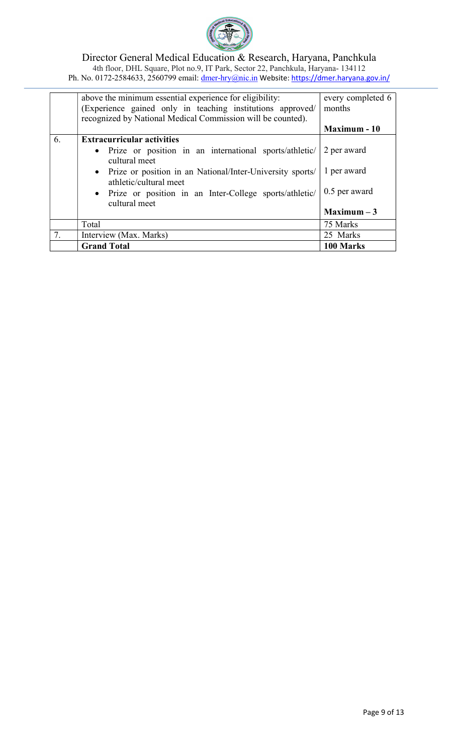

|    | above the minimum essential experience for eligibility:<br>(Experience gained only in teaching institutions approved/<br>recognized by National Medical Commission will be counted). | every completed 6<br>months |
|----|--------------------------------------------------------------------------------------------------------------------------------------------------------------------------------------|-----------------------------|
|    |                                                                                                                                                                                      | Maximum - 10                |
| 6. | <b>Extracurricular activities</b>                                                                                                                                                    |                             |
|    | • Prize or position in an international sports/athletic/<br>cultural meet                                                                                                            | 2 per award                 |
|    | • Prize or position in an National/Inter-University sports/<br>athletic/cultural meet                                                                                                | 1 per award                 |
|    | • Prize or position in an Inter-College sports/athletic/<br>cultural meet                                                                                                            | 0.5 per award               |
|    |                                                                                                                                                                                      | $Maximum - 3$               |
|    | Total                                                                                                                                                                                | 75 Marks                    |
| 7. | Interview (Max. Marks)                                                                                                                                                               | 25 Marks                    |
|    | <b>Grand Total</b>                                                                                                                                                                   | 100 Marks                   |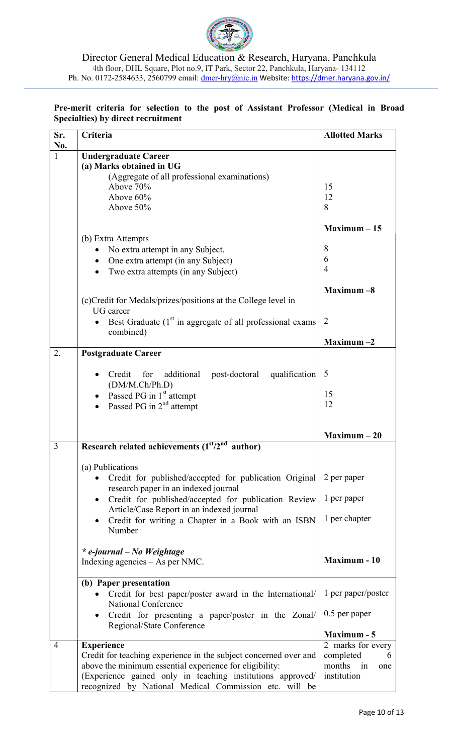

### Pre-merit criteria for selection to the post of Assistant Professor (Medical in Broad Specialties) by direct recruitment

| Sr.            | Criteria                                                                        | <b>Allotted Marks</b>    |
|----------------|---------------------------------------------------------------------------------|--------------------------|
| No.            |                                                                                 |                          |
| 1              | <b>Undergraduate Career</b>                                                     |                          |
|                | (a) Marks obtained in UG                                                        |                          |
|                | (Aggregate of all professional examinations)                                    |                          |
|                | Above 70%                                                                       | 15                       |
|                | Above $60\%$                                                                    | 12                       |
|                | Above 50%                                                                       | 8                        |
|                |                                                                                 |                          |
|                |                                                                                 | $Maximum - 15$           |
|                | (b) Extra Attempts                                                              |                          |
|                | No extra attempt in any Subject.                                                | 8                        |
|                | One extra attempt (in any Subject)                                              | 6                        |
|                | Two extra attempts (in any Subject)                                             | 4                        |
|                |                                                                                 |                          |
|                |                                                                                 | Maximum $-8$             |
|                | (c) Credit for Medals/prizes/positions at the College level in                  |                          |
|                | <b>UG</b> career                                                                |                          |
|                | Best Graduate $(1st$ in aggregate of all professional exams                     | 2                        |
|                | combined)                                                                       | $Maximum -2$             |
| 2.             |                                                                                 |                          |
|                | <b>Postgraduate Career</b>                                                      |                          |
|                |                                                                                 | 5                        |
|                | additional<br>qualification<br>Credit<br>post-doctoral<br>for<br>(DM/M.Ch/Ph.D) |                          |
|                |                                                                                 | 15                       |
|                | Passed PG in 1 <sup>st</sup> attempt                                            | 12                       |
|                | Passed PG in $2nd$ attempt                                                      |                          |
|                |                                                                                 |                          |
|                |                                                                                 | $Maximum - 20$           |
| 3              | Research related achievements $(1st/2nd$ author)                                |                          |
|                |                                                                                 |                          |
|                | (a) Publications                                                                |                          |
|                | Credit for published/accepted for publication Original                          | 2 per paper              |
|                | research paper in an indexed journal                                            |                          |
|                | Credit for published/accepted for publication Review<br>$\bullet$               | 1 per paper              |
|                | Article/Case Report in an indexed journal                                       |                          |
|                | Credit for writing a Chapter in a Book with an ISBN                             | 1 per chapter            |
|                | Number                                                                          |                          |
|                |                                                                                 |                          |
|                | * e-journal – No Weightage                                                      |                          |
|                | Indexing agencies $-$ As per NMC.                                               | <b>Maximum - 10</b>      |
|                |                                                                                 |                          |
|                | (b) Paper presentation                                                          |                          |
|                | Credit for best paper/poster award in the International/                        | 1 per paper/poster       |
|                | National Conference                                                             |                          |
|                | Credit for presenting a paper/poster in the Zonal/                              | $0.5$ per paper          |
|                | Regional/State Conference                                                       | Maximum - 5              |
| $\overline{4}$ |                                                                                 | 2 marks for every        |
|                | <b>Experience</b>                                                               |                          |
|                | Credit for teaching experience in the subject concerned over and                | completed<br>months      |
|                | above the minimum essential experience for eligibility:                         | in<br>one<br>institution |
|                | (Experience gained only in teaching institutions approved/                      |                          |
|                | recognized by National Medical Commission etc. will be                          |                          |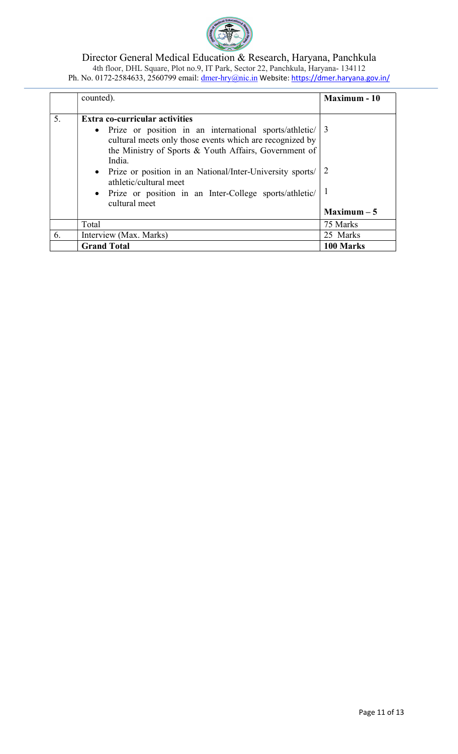

|    | counted).                                                                                                                                                     | <b>Maximum - 10</b>       |
|----|---------------------------------------------------------------------------------------------------------------------------------------------------------------|---------------------------|
|    |                                                                                                                                                               |                           |
| 5. | <b>Extra co-curricular activities</b><br>• Prize or position in an international sports/athletic/<br>cultural meets only those events which are recognized by | 3                         |
|    | the Ministry of Sports & Youth Affairs, Government of<br>India.<br>• Prize or position in an National/Inter-University sports/<br>athletic/cultural meet      |                           |
|    | • Prize or position in an Inter-College sports/athletic/<br>cultural meet<br>Total                                                                            | $Maximum - 5$<br>75 Marks |
|    |                                                                                                                                                               |                           |
| 6. | Interview (Max. Marks)                                                                                                                                        | 25 Marks                  |
|    | <b>Grand Total</b>                                                                                                                                            | 100 Marks                 |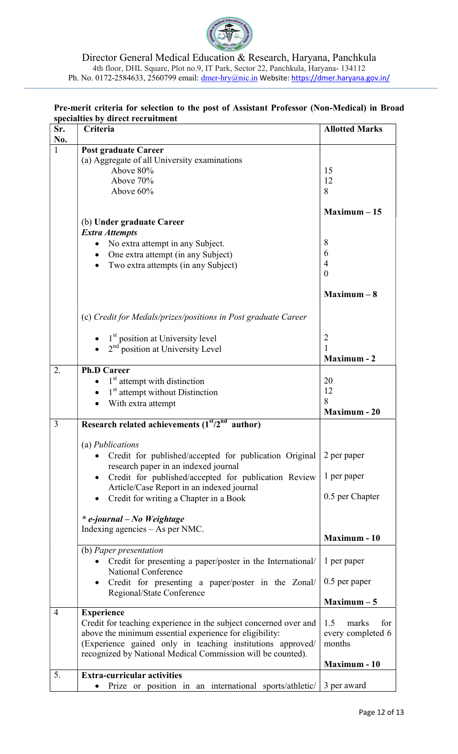

## Pre-merit criteria for selection to the post of Assistant Professor (Non-Medical) in Broad specialties by direct recruitment

| Sr.            | Criteria                                                                          | <b>Allotted Marks</b> |
|----------------|-----------------------------------------------------------------------------------|-----------------------|
| No.            |                                                                                   |                       |
| 1              | <b>Post graduate Career</b>                                                       |                       |
|                | (a) Aggregate of all University examinations                                      |                       |
|                | Above 80%                                                                         | 15                    |
|                | Above 70%                                                                         | 12                    |
|                | Above 60%                                                                         | 8                     |
|                |                                                                                   |                       |
|                |                                                                                   | $Maximum - 15$        |
|                | (b) Under graduate Career                                                         |                       |
|                | <b>Extra Attempts</b>                                                             | 8                     |
|                | No extra attempt in any Subject.                                                  | 6                     |
|                | One extra attempt (in any Subject)                                                | $\overline{4}$        |
|                | Two extra attempts (in any Subject)                                               |                       |
|                |                                                                                   | $\theta$              |
|                |                                                                                   | $Maximum - 8$         |
|                |                                                                                   |                       |
|                | (c) Credit for Medals/prizes/positions in Post graduate Career                    |                       |
|                | 1 <sup>st</sup> position at University level                                      | 2                     |
|                | 2 <sup>nd</sup> position at University Level                                      | $\mathbf{1}$          |
|                |                                                                                   | <b>Maximum - 2</b>    |
| 2.             | <b>Ph.D Career</b>                                                                |                       |
|                | 1 <sup>st</sup> attempt with distinction                                          | 20                    |
|                | 1 <sup>st</sup> attempt without Distinction                                       | 12                    |
|                |                                                                                   | 8                     |
|                | With extra attempt                                                                | <b>Maximum - 20</b>   |
| 3              | Research related achievements $(1st/2nd$ author)                                  |                       |
|                |                                                                                   |                       |
|                | (a) Publications                                                                  |                       |
|                | Credit for published/accepted for publication Original                            | 2 per paper           |
|                | research paper in an indexed journal                                              |                       |
|                | Credit for published/accepted for publication Review<br>$\bullet$                 | 1 per paper           |
|                | Article/Case Report in an indexed journal                                         |                       |
|                |                                                                                   | 0.5 per Chapter       |
|                | Credit for writing a Chapter in a Book                                            |                       |
|                | * e-journal – No Weightage                                                        |                       |
|                | Indexing agencies $-$ As per NMC.                                                 |                       |
|                |                                                                                   | <b>Maximum - 10</b>   |
|                | (b) Paper presentation                                                            |                       |
|                | Credit for presenting a paper/poster in the International/<br>National Conference | 1 per paper           |
|                | Credit for presenting a paper/poster in the Zonal/                                | $0.5$ per paper       |
|                | Regional/State Conference                                                         | $Maximum - 5$         |
| $\overline{4}$ | <b>Experience</b>                                                                 |                       |
|                | Credit for teaching experience in the subject concerned over and                  | 1.5<br>marks<br>for   |
|                | above the minimum essential experience for eligibility:                           | every completed 6     |
|                | (Experience gained only in teaching institutions approved/                        | months                |
|                | recognized by National Medical Commission will be counted).                       |                       |
|                |                                                                                   | <b>Maximum - 10</b>   |
| 5.             | <b>Extra-curricular activities</b>                                                |                       |
|                | Prize or position in an international sports/athletic/                            | 3 per award           |